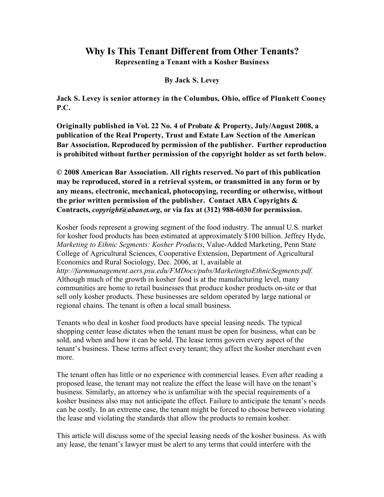# **Why Is This Tenant Different from Other Tenants?**

**Representing a Tenant with a Kosher Business**

**By Jack S. Levey**

**Jack S. Levey is senior attorney in the Columbus, Ohio, office of Plunkett Cooney P.C.**

**Originally published in Vol. 22 No. 4 of Probate & Property, July/August 2008, a publication of the Real Property, Trust and Estate Law Section of the American Bar Association. Reproduced by permission of the publisher. Further reproduction is prohibited without further permission of the copyright holder as set forth below.** 

**© 2008 American Bar Association. All rights reserved. No part of this publication may be reproduced, stored in a retrieval system, or transmitted in any form or by any means, electronic, mechanical, photocopying, recording or otherwise, without the prior written permission of the publisher. Contact ABA Copyrights & Contracts,** *copyright@abanet.org***, or via fax at (312) 988-6030 for permission.**

Kosher foods represent a growing segment of the food industry. The annual U.S. market for kosher food products has been estimated at approximately \$100 billion. Jeffrey Hyde, *Marketing to Ethnic Segments: Kosher Products*, Value-Added Marketing, Penn State College of Agricultural Sciences, Cooperative Extension, Department of Agricultural Economics and Rural Sociology, Dec. 2006, at 1, available at *http://farmmanagement.aers.psu.edu/FMDocs/pubs/MarketingtoEthnicSegments.pdf.* Although much of the growth in kosher food is at the manufacturing level, many communities are home to retail businesses that produce kosher products on-site or that sell only kosher products. These businesses are seldom operated by large national or regional chains. The tenant is often a local small business.

Tenants who deal in kosher food products have special leasing needs. The typical shopping center lease dictates when the tenant must be open for business, what can be sold, and when and how it can be sold. The lease terms govern every aspect of the tenant's business. These terms affect every tenant; they affect the kosher merchant even more.

The tenant often has little or no experience with commercial leases. Even after reading a proposed lease, the tenant may not realize the effect the lease will have on the tenant's business. Similarly, an attorney who is unfamiliar with the special requirements of a kosher business also may not anticipate the effect. Failure to anticipate the tenant's needs can be costly. In an extreme case, the tenant might be forced to choose between violating the lease and violating the standards that allow the products to remain kosher.

This article will discuss some of the special leasing needs of the kosher business. As with any lease, the tenant's lawyer must be alert to any terms that could interfere with the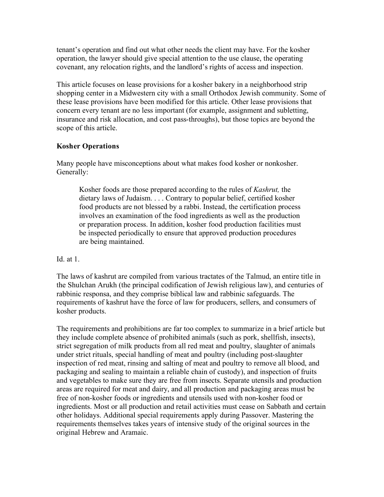tenant's operation and find out what other needs the client may have. For the kosher operation, the lawyer should give special attention to the use clause, the operating covenant, any relocation rights, and the landlord's rights of access and inspection.

This article focuses on lease provisions for a kosher bakery in a neighborhood strip shopping center in a Midwestern city with a small Orthodox Jewish community. Some of these lease provisions have been modified for this article. Other lease provisions that concern every tenant are no less important (for example, assignment and subletting, insurance and risk allocation, and cost pass-throughs), but those topics are beyond the scope of this article.

# **Kosher Operations**

Many people have misconceptions about what makes food kosher or nonkosher. Generally:

Kosher foods are those prepared according to the rules of *Kashrut,* the dietary laws of Judaism. . . . Contrary to popular belief, certified kosher food products are not blessed by a rabbi. Instead, the certification process involves an examination of the food ingredients as well as the production or preparation process. In addition, kosher food production facilities must be inspected periodically to ensure that approved production procedures are being maintained.

#### Id. at 1.

The laws of kashrut are compiled from various tractates of the Talmud, an entire title in the Shulchan Arukh (the principal codification of Jewish religious law), and centuries of rabbinic responsa, and they comprise biblical law and rabbinic safeguards. The requirements of kashrut have the force of law for producers, sellers, and consumers of kosher products.

The requirements and prohibitions are far too complex to summarize in a brief article but they include complete absence of prohibited animals (such as pork, shellfish, insects), strict segregation of milk products from all red meat and poultry, slaughter of animals under strict rituals, special handling of meat and poultry (including post-slaughter inspection of red meat, rinsing and salting of meat and poultry to remove all blood, and packaging and sealing to maintain a reliable chain of custody), and inspection of fruits and vegetables to make sure they are free from insects. Separate utensils and production areas are required for meat and dairy, and all production and packaging areas must be free of non-kosher foods or ingredients and utensils used with non-kosher food or ingredients. Most or all production and retail activities must cease on Sabbath and certain other holidays. Additional special requirements apply during Passover. Mastering the requirements themselves takes years of intensive study of the original sources in the original Hebrew and Aramaic.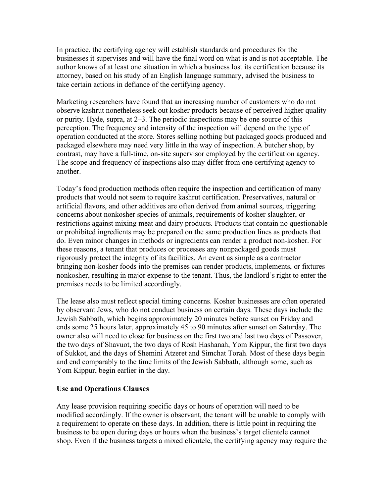In practice, the certifying agency will establish standards and procedures for the businesses it supervises and will have the final word on what is and is not acceptable. The author knows of at least one situation in which a business lost its certification because its attorney, based on his study of an English language summary, advised the business to take certain actions in defiance of the certifying agency.

Marketing researchers have found that an increasing number of customers who do not observe kashrut nonetheless seek out kosher products because of perceived higher quality or purity. Hyde, supra, at 2–3. The periodic inspections may be one source of this perception. The frequency and intensity of the inspection will depend on the type of operation conducted at the store. Stores selling nothing but packaged goods produced and packaged elsewhere may need very little in the way of inspection. A butcher shop, by contrast, may have a full-time, on-site supervisor employed by the certification agency. The scope and frequency of inspections also may differ from one certifying agency to another.

Today's food production methods often require the inspection and certification of many products that would not seem to require kashrut certification. Preservatives, natural or artificial flavors, and other additives are often derived from animal sources, triggering concerns about nonkosher species of animals, requirements of kosher slaughter, or restrictions against mixing meat and dairy products. Products that contain no questionable or prohibited ingredients may be prepared on the same production lines as products that do. Even minor changes in methods or ingredients can render a product non-kosher. For these reasons, a tenant that produces or processes any nonpackaged goods must rigorously protect the integrity of its facilities. An event as simple as a contractor bringing non-kosher foods into the premises can render products, implements, or fixtures nonkosher, resulting in major expense to the tenant. Thus, the landlord's right to enter the premises needs to be limited accordingly.

The lease also must reflect special timing concerns. Kosher businesses are often operated by observant Jews, who do not conduct business on certain days. These days include the Jewish Sabbath, which begins approximately 20 minutes before sunset on Friday and ends some 25 hours later, approximately 45 to 90 minutes after sunset on Saturday. The owner also will need to close for business on the first two and last two days of Passover, the two days of Shavuot, the two days of Rosh Hashanah, Yom Kippur, the first two days of Sukkot, and the days of Shemini Atzeret and Simchat Torah. Most of these days begin and end comparably to the time limits of the Jewish Sabbath, although some, such as Yom Kippur, begin earlier in the day.

# **Use and Operations Clauses**

Any lease provision requiring specific days or hours of operation will need to be modified accordingly. If the owner is observant, the tenant will be unable to comply with a requirement to operate on these days. In addition, there is little point in requiring the business to be open during days or hours when the business's target clientele cannot shop. Even if the business targets a mixed clientele, the certifying agency may require the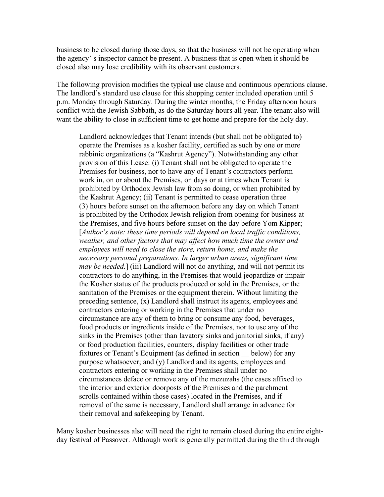business to be closed during those days, so that the business will not be operating when the agency' s inspector cannot be present. A business that is open when it should be closed also may lose credibility with its observant customers.

The following provision modifies the typical use clause and continuous operations clause. The landlord's standard use clause for this shopping center included operation until 5 p.m. Monday through Saturday. During the winter months, the Friday afternoon hours conflict with the Jewish Sabbath, as do the Saturday hours all year. The tenant also will want the ability to close in sufficient time to get home and prepare for the holy day.

Landlord acknowledges that Tenant intends (but shall not be obligated to) operate the Premises as a kosher facility, certified as such by one or more rabbinic organizations (a "Kashrut Agency"). Notwithstanding any other provision of this Lease: (i) Tenant shall not be obligated to operate the Premises for business, nor to have any of Tenant's contractors perform work in, on or about the Premises, on days or at times when Tenant is prohibited by Orthodox Jewish law from so doing, or when prohibited by the Kashrut Agency; (ii) Tenant is permitted to cease operation three (3) hours before sunset on the afternoon before any day on which Tenant is prohibited by the Orthodox Jewish religion from opening for business at the Premises, and five hours before sunset on the day before Yom Kipper; [*Author's note: these time periods will depend on local traffic conditions, weather, and other factors that may affect how much time the owner and employees will need to close the store, return home, and make the necessary personal preparations. In larger urban areas, significant time may be needed.*] (iii) Landlord will not do anything, and will not permit its contractors to do anything, in the Premises that would jeopardize or impair the Kosher status of the products produced or sold in the Premises, or the sanitation of the Premises or the equipment therein. Without limiting the preceding sentence, (x) Landlord shall instruct its agents, employees and contractors entering or working in the Premises that under no circumstance are any of them to bring or consume any food, beverages, food products or ingredients inside of the Premises, nor to use any of the sinks in the Premises (other than lavatory sinks and janitorial sinks, if any) or food production facilities, counters, display facilities or other trade fixtures or Tenant's Equipment (as defined in section \_\_ below) for any purpose whatsoever; and (y) Landlord and its agents, employees and contractors entering or working in the Premises shall under no circumstances deface or remove any of the mezuzahs (the cases affixed to the interior and exterior doorposts of the Premises and the parchment scrolls contained within those cases) located in the Premises, and if removal of the same is necessary, Landlord shall arrange in advance for their removal and safekeeping by Tenant.

Many kosher businesses also will need the right to remain closed during the entire eightday festival of Passover. Although work is generally permitted during the third through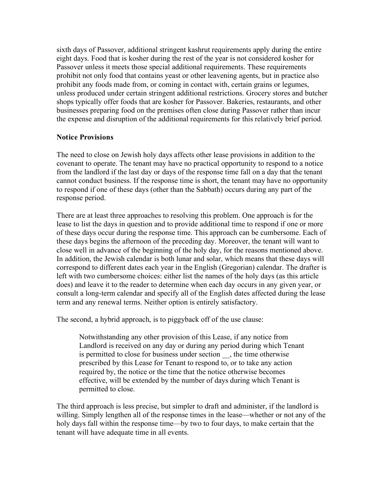sixth days of Passover, additional stringent kashrut requirements apply during the entire eight days. Food that is kosher during the rest of the year is not considered kosher for Passover unless it meets those special additional requirements. These requirements prohibit not only food that contains yeast or other leavening agents, but in practice also prohibit any foods made from, or coming in contact with, certain grains or legumes, unless produced under certain stringent additional restrictions. Grocery stores and butcher shops typically offer foods that are kosher for Passover. Bakeries, restaurants, and other businesses preparing food on the premises often close during Passover rather than incur the expense and disruption of the additional requirements for this relatively brief period.

#### **Notice Provisions**

The need to close on Jewish holy days affects other lease provisions in addition to the covenant to operate. The tenant may have no practical opportunity to respond to a notice from the landlord if the last day or days of the response time fall on a day that the tenant cannot conduct business. If the response time is short, the tenant may have no opportunity to respond if one of these days (other than the Sabbath) occurs during any part of the response period.

There are at least three approaches to resolving this problem. One approach is for the lease to list the days in question and to provide additional time to respond if one or more of these days occur during the response time. This approach can be cumbersome. Each of these days begins the afternoon of the preceding day. Moreover, the tenant will want to close well in advance of the beginning of the holy day, for the reasons mentioned above. In addition, the Jewish calendar is both lunar and solar, which means that these days will correspond to different dates each year in the English (Gregorian) calendar. The drafter is left with two cumbersome choices: either list the names of the holy days (as this article does) and leave it to the reader to determine when each day occurs in any given year, or consult a long-term calendar and specify all of the English dates affected during the lease term and any renewal terms. Neither option is entirely satisfactory.

The second, a hybrid approach, is to piggyback off of the use clause:

Notwithstanding any other provision of this Lease, if any notice from Landlord is received on any day or during any period during which Tenant is permitted to close for business under section \_\_, the time otherwise prescribed by this Lease for Tenant to respond to, or to take any action required by, the notice or the time that the notice otherwise becomes effective, will be extended by the number of days during which Tenant is permitted to close.

The third approach is less precise, but simpler to draft and administer, if the landlord is willing. Simply lengthen all of the response times in the lease—whether or not any of the holy days fall within the response time—by two to four days, to make certain that the tenant will have adequate time in all events.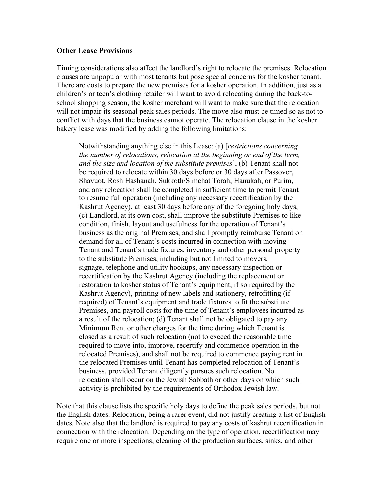#### **Other Lease Provisions**

Timing considerations also affect the landlord's right to relocate the premises. Relocation clauses are unpopular with most tenants but pose special concerns for the kosher tenant. There are costs to prepare the new premises for a kosher operation. In addition, just as a children's or teen's clothing retailer will want to avoid relocating during the back-toschool shopping season, the kosher merchant will want to make sure that the relocation will not impair its seasonal peak sales periods. The move also must be timed so as not to conflict with days that the business cannot operate. The relocation clause in the kosher bakery lease was modified by adding the following limitations:

Notwithstanding anything else in this Lease: (a) [*restrictions concerning the number of relocations, relocation at the beginning or end of the term, and the size and location of the substitute premises*], (b) Tenant shall not be required to relocate within 30 days before or 30 days after Passover, Shavuot, Rosh Hashanah, Sukkoth/Simchat Torah, Hanukah, or Purim, and any relocation shall be completed in sufficient time to permit Tenant to resume full operation (including any necessary recertification by the Kashrut Agency), at least 30 days before any of the foregoing holy days, (c) Landlord, at its own cost, shall improve the substitute Premises to like condition, finish, layout and usefulness for the operation of Tenant's business as the original Premises, and shall promptly reimburse Tenant on demand for all of Tenant's costs incurred in connection with moving Tenant and Tenant's trade fixtures, inventory and other personal property to the substitute Premises, including but not limited to movers, signage, telephone and utility hookups, any necessary inspection or recertification by the Kashrut Agency (including the replacement or restoration to kosher status of Tenant's equipment, if so required by the Kashrut Agency), printing of new labels and stationery, retrofitting (if required) of Tenant's equipment and trade fixtures to fit the substitute Premises, and payroll costs for the time of Tenant's employees incurred as a result of the relocation; (d) Tenant shall not be obligated to pay any Minimum Rent or other charges for the time during which Tenant is closed as a result of such relocation (not to exceed the reasonable time required to move into, improve, recertify and commence operation in the relocated Premises), and shall not be required to commence paying rent in the relocated Premises until Tenant has completed relocation of Tenant's business, provided Tenant diligently pursues such relocation. No relocation shall occur on the Jewish Sabbath or other days on which such activity is prohibited by the requirements of Orthodox Jewish law.

Note that this clause lists the specific holy days to define the peak sales periods, but not the English dates. Relocation, being a rarer event, did not justify creating a list of English dates. Note also that the landlord is required to pay any costs of kashrut recertification in connection with the relocation. Depending on the type of operation, recertification may require one or more inspections; cleaning of the production surfaces, sinks, and other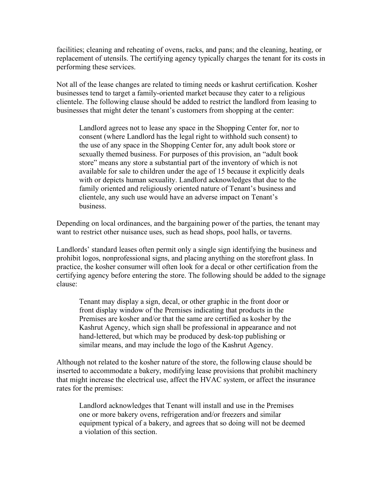facilities; cleaning and reheating of ovens, racks, and pans; and the cleaning, heating, or replacement of utensils. The certifying agency typically charges the tenant for its costs in performing these services.

Not all of the lease changes are related to timing needs or kashrut certification. Kosher businesses tend to target a family-oriented market because they cater to a religious clientele. The following clause should be added to restrict the landlord from leasing to businesses that might deter the tenant's customers from shopping at the center:

Landlord agrees not to lease any space in the Shopping Center for, nor to consent (where Landlord has the legal right to withhold such consent) to the use of any space in the Shopping Center for, any adult book store or sexually themed business. For purposes of this provision, an "adult book store" means any store a substantial part of the inventory of which is not available for sale to children under the age of 15 because it explicitly deals with or depicts human sexuality. Landlord acknowledges that due to the family oriented and religiously oriented nature of Tenant's business and clientele, any such use would have an adverse impact on Tenant's business.

Depending on local ordinances, and the bargaining power of the parties, the tenant may want to restrict other nuisance uses, such as head shops, pool halls, or taverns.

Landlords' standard leases often permit only a single sign identifying the business and prohibit logos, nonprofessional signs, and placing anything on the storefront glass. In practice, the kosher consumer will often look for a decal or other certification from the certifying agency before entering the store. The following should be added to the signage clause:

Tenant may display a sign, decal, or other graphic in the front door or front display window of the Premises indicating that products in the Premises are kosher and/or that the same are certified as kosher by the Kashrut Agency, which sign shall be professional in appearance and not hand-lettered, but which may be produced by desk-top publishing or similar means, and may include the logo of the Kashrut Agency.

Although not related to the kosher nature of the store, the following clause should be inserted to accommodate a bakery, modifying lease provisions that prohibit machinery that might increase the electrical use, affect the HVAC system, or affect the insurance rates for the premises:

Landlord acknowledges that Tenant will install and use in the Premises one or more bakery ovens, refrigeration and/or freezers and similar equipment typical of a bakery, and agrees that so doing will not be deemed a violation of this section.